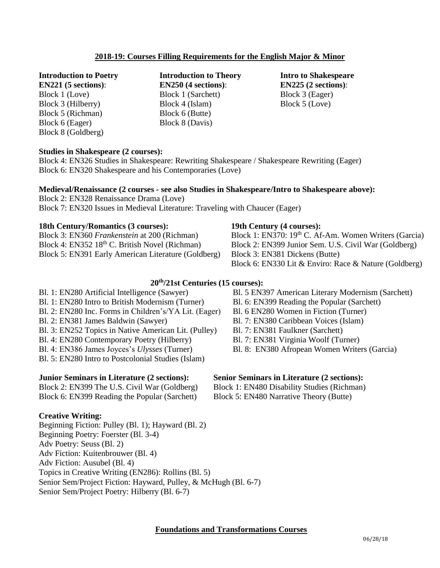# **2018-19: Courses Filling Requirements for the English Major & Minor**

**Introduction to Poetry** 

**EN221 (5 sections)**: Block 1 (Love) Block 3 (Hilberry) Block 5 (Richman) Block 6 (Eager) Block 8 (Goldberg)

**Introduction to Theory EN250 (4 sections)**: Block 1 (Sarchett) Block 4 (Islam) Block 6 (Butte) Block 8 (Davis)

**Intro to Shakespeare EN225 (2 sections)**: Block 3 (Eager) Block 5 (Love)

## **Studies in Shakespeare (2 courses):**

Block 4: EN326 Studies in Shakespeare: Rewriting Shakespeare / Shakespeare Rewriting (Eager) Block 6: EN320 Shakespeare and his Contemporaries (Love)

# **Medieval/Renaissance (2 courses - see also Studies in Shakespeare/Intro to Shakespeare above):**

Block 2: EN328 Renaissance Drama (Love) Block 7: EN320 Issues in Medieval Literature: Traveling with Chaucer (Eager)

#### **18th Century/Romantics (3 courses):**

Block 3: EN360 *Frankenstein* at 200 (Richman) Block 4: EN352 18<sup>th</sup> C. British Novel (Richman) Block 5: EN391 Early American Literature (Goldberg)

#### **19th Century (4 courses):**

Block 1: EN370: 19<sup>th</sup> C. Af-Am. Women Writers (Garcia) Block 2: EN399 Junior Sem. U.S. Civil War (Goldberg) Block 3: EN381 Dickens (Butte) Block 6: EN330 Lit & Enviro: Race & Nature (Goldberg)

### **20 th/21st Centuries (15 courses):**

- Bl. 1: EN280 Artificial Intelligence (Sawyer) Bl. 1: EN280 Intro to British Modernism (Turner) Bl. 2: EN280 Inc. Forms in Children's/YA Lit. (Eager) Bl. 2: EN381 James Baldwin (Sawyer)
- Bl. 3: EN252 Topics in Native American Lit. (Pulley)
- Bl. 4: EN280 Contemporary Poetry (Hilberry)
- Bl. 4: EN386 James Joyces's *Ulysses* (Turner)
- Bl. 5: EN280 Intro to Postcolonial Studies (Islam)

### **Junior Seminars in Literature (2 sections):**

Block 2: EN399 The U.S. Civil War (Goldberg) Block 6: EN399 Reading the Popular (Sarchett)

### **Creative Writing:**

Beginning Fiction: Pulley (Bl. 1); Hayward (Bl. 2) Beginning Poetry: Foerster (Bl. 3-4) Adv Poetry: Seuss (Bl. 2) Adv Fiction: Kuitenbrouwer (Bl. 4) Adv Fiction: Ausubel (Bl. 4) Topics in Creative Writing (EN286): Rollins (Bl. 5) Senior Sem/Project Fiction: Hayward, Pulley, & McHugh (Bl. 6-7) Senior Sem/Project Poetry: Hilberry (Bl. 6-7)

- Bl. 5 EN397 American Literary Modernism (Sarchett)
- Bl. 6: EN399 Reading the Popular (Sarchett)
- Bl. 6 EN280 Women in Fiction (Turner)
- Bl. 7: EN380 Caribbean Voices (Islam)
- Bl. 7: EN381 Faulkner (Sarchett)
- Bl. 7: EN381 Virginia Woolf (Turner)
- Bl. 8: EN380 Afropean Women Writers (Garcia)

#### **Senior Seminars in Literature (2 sections):**

Block 1: EN480 Disability Studies (Richman)

Block 5: EN480 Narrative Theory (Butte)

#### **Foundations and Transformations Courses**